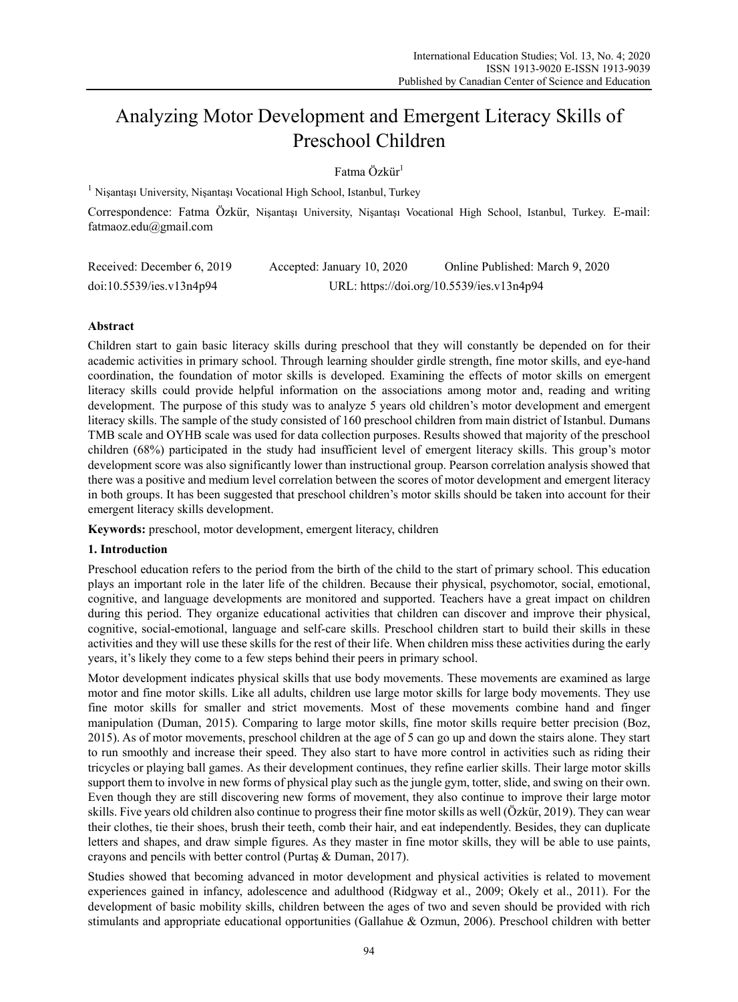# Analyzing Motor Development and Emergent Literacy Skills of Preschool Children

 $Fatma$  Özkür<sup>1</sup>

<sup>1</sup> Nişantaşı University, Nişantaşı Vocational High School, Istanbul, Turkey

Correspondence: Fatma Özkür, Nişantaşı University, Nişantaşı Vocational High School, Istanbul, Turkey. E-mail: fatmaoz.edu@gmail.com

| Received: December 6, 2019 | Accepted: January 10, 2020 | Online Published: March 9, 2020           |
|----------------------------|----------------------------|-------------------------------------------|
| doi:10.5539/ies.v13n4p94   |                            | URL: https://doi.org/10.5539/ies.v13n4p94 |

# **Abstract**

Children start to gain basic literacy skills during preschool that they will constantly be depended on for their academic activities in primary school. Through learning shoulder girdle strength, fine motor skills, and eye-hand coordination, the foundation of motor skills is developed. Examining the effects of motor skills on emergent literacy skills could provide helpful information on the associations among motor and, reading and writing development. The purpose of this study was to analyze 5 years old children's motor development and emergent literacy skills. The sample of the study consisted of 160 preschool children from main district of Istanbul. Dumans TMB scale and OYHB scale was used for data collection purposes. Results showed that majority of the preschool children (68%) participated in the study had insufficient level of emergent literacy skills. This group's motor development score was also significantly lower than instructional group. Pearson correlation analysis showed that there was a positive and medium level correlation between the scores of motor development and emergent literacy in both groups. It has been suggested that preschool children's motor skills should be taken into account for their emergent literacy skills development.

**Keywords:** preschool, motor development, emergent literacy, children

# **1. Introduction**

Preschool education refers to the period from the birth of the child to the start of primary school. This education plays an important role in the later life of the children. Because their physical, psychomotor, social, emotional, cognitive, and language developments are monitored and supported. Teachers have a great impact on children during this period. They organize educational activities that children can discover and improve their physical, cognitive, social-emotional, language and self-care skills. Preschool children start to build their skills in these activities and they will use these skills for the rest of their life. When children miss these activities during the early years, it's likely they come to a few steps behind their peers in primary school.

Motor development indicates physical skills that use body movements. These movements are examined as large motor and fine motor skills. Like all adults, children use large motor skills for large body movements. They use fine motor skills for smaller and strict movements. Most of these movements combine hand and finger manipulation (Duman, 2015). Comparing to large motor skills, fine motor skills require better precision (Boz, 2015). As of motor movements, preschool children at the age of 5 can go up and down the stairs alone. They start to run smoothly and increase their speed. They also start to have more control in activities such as riding their tricycles or playing ball games. As their development continues, they refine earlier skills. Their large motor skills support them to involve in new forms of physical play such as the jungle gym, totter, slide, and swing on their own. Even though they are still discovering new forms of movement, they also continue to improve their large motor skills. Five years old children also continue to progress their fine motor skills as well (Özkür, 2019). They can wear their clothes, tie their shoes, brush their teeth, comb their hair, and eat independently. Besides, they can duplicate letters and shapes, and draw simple figures. As they master in fine motor skills, they will be able to use paints, crayons and pencils with better control (Purtaş & Duman, 2017).

Studies showed that becoming advanced in motor development and physical activities is related to movement experiences gained in infancy, adolescence and adulthood (Ridgway et al., 2009; Okely et al., 2011). For the development of basic mobility skills, children between the ages of two and seven should be provided with rich stimulants and appropriate educational opportunities (Gallahue & Ozmun, 2006). Preschool children with better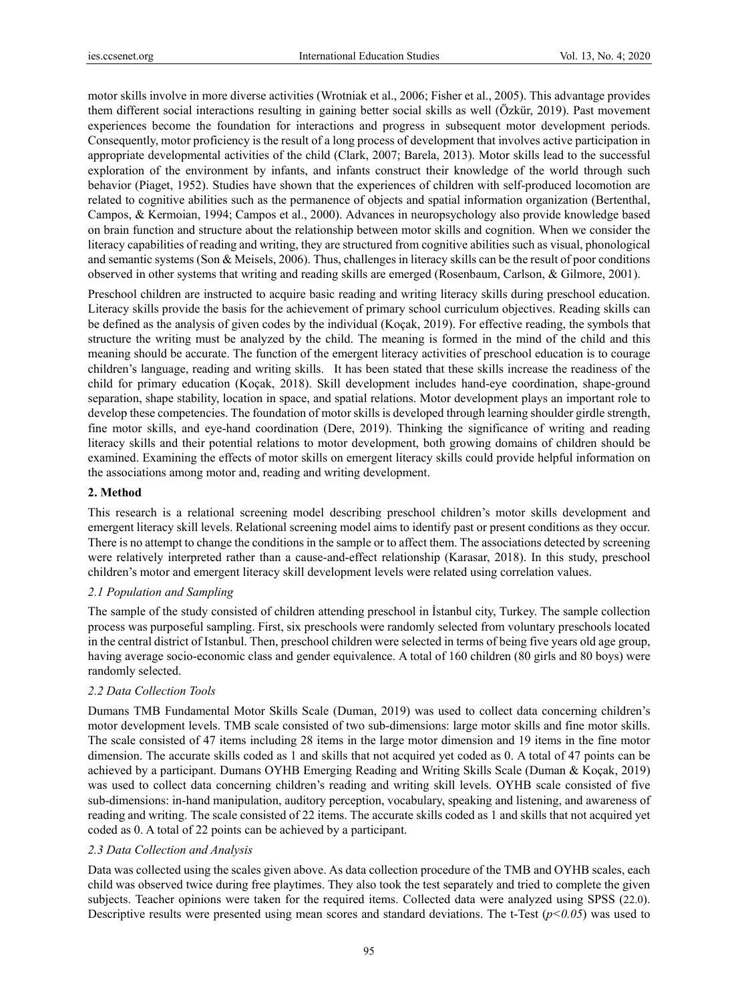motor skills involve in more diverse activities (Wrotniak et al., 2006; Fisher et al., 2005). This advantage provides them different social interactions resulting in gaining better social skills as well (Özkür, 2019). Past movement experiences become the foundation for interactions and progress in subsequent motor development periods. Consequently, motor proficiency is the result of a long process of development that involves active participation in appropriate developmental activities of the child (Clark, 2007; Barela, 2013). Motor skills lead to the successful exploration of the environment by infants, and infants construct their knowledge of the world through such behavior (Piaget, 1952). Studies have shown that the experiences of children with self-produced locomotion are related to cognitive abilities such as the permanence of objects and spatial information organization (Bertenthal, Campos, & Kermoian, 1994; Campos et al., 2000). Advances in neuropsychology also provide knowledge based on brain function and structure about the relationship between motor skills and cognition. When we consider the literacy capabilities of reading and writing, they are structured from cognitive abilities such as visual, phonological and semantic systems (Son & Meisels, 2006). Thus, challenges in literacy skills can be the result of poor conditions observed in other systems that writing and reading skills are emerged (Rosenbaum, Carlson, & Gilmore, 2001).

Preschool children are instructed to acquire basic reading and writing literacy skills during preschool education. Literacy skills provide the basis for the achievement of primary school curriculum objectives. Reading skills can be defined as the analysis of given codes by the individual (Koçak, 2019). For effective reading, the symbols that structure the writing must be analyzed by the child. The meaning is formed in the mind of the child and this meaning should be accurate. The function of the emergent literacy activities of preschool education is to courage children's language, reading and writing skills. It has been stated that these skills increase the readiness of the child for primary education (Koçak, 2018). Skill development includes hand-eye coordination, shape-ground separation, shape stability, location in space, and spatial relations. Motor development plays an important role to develop these competencies. The foundation of motor skills is developed through learning shoulder girdle strength, fine motor skills, and eye-hand coordination (Dere, 2019). Thinking the significance of writing and reading literacy skills and their potential relations to motor development, both growing domains of children should be examined. Examining the effects of motor skills on emergent literacy skills could provide helpful information on the associations among motor and, reading and writing development.

# **2. Method**

This research is a relational screening model describing preschool children's motor skills development and emergent literacy skill levels. Relational screening model aims to identify past or present conditions as they occur. There is no attempt to change the conditions in the sample or to affect them. The associations detected by screening were relatively interpreted rather than a cause-and-effect relationship (Karasar, 2018). In this study, preschool children's motor and emergent literacy skill development levels were related using correlation values.

#### *2.1 Population and Sampling*

The sample of the study consisted of children attending preschool in İstanbul city, Turkey. The sample collection process was purposeful sampling. First, six preschools were randomly selected from voluntary preschools located in the central district of Istanbul. Then, preschool children were selected in terms of being five years old age group, having average socio-economic class and gender equivalence. A total of 160 children (80 girls and 80 boys) were randomly selected.

# *2.2 Data Collection Tools*

Dumans TMB Fundamental Motor Skills Scale (Duman, 2019) was used to collect data concerning children's motor development levels. TMB scale consisted of two sub-dimensions: large motor skills and fine motor skills. The scale consisted of 47 items including 28 items in the large motor dimension and 19 items in the fine motor dimension. The accurate skills coded as 1 and skills that not acquired yet coded as 0. A total of 47 points can be achieved by a participant. Dumans OYHB Emerging Reading and Writing Skills Scale (Duman & Koçak, 2019) was used to collect data concerning children's reading and writing skill levels. OYHB scale consisted of five sub-dimensions: in-hand manipulation, auditory perception, vocabulary, speaking and listening, and awareness of reading and writing. The scale consisted of 22 items. The accurate skills coded as 1 and skills that not acquired yet coded as 0. A total of 22 points can be achieved by a participant.

# *2.3 Data Collection and Analysis*

Data was collected using the scales given above. As data collection procedure of the TMB and OYHB scales, each child was observed twice during free playtimes. They also took the test separately and tried to complete the given subjects. Teacher opinions were taken for the required items. Collected data were analyzed using SPSS (22.0). Descriptive results were presented using mean scores and standard deviations. The t-Test (*p<0.05*) was used to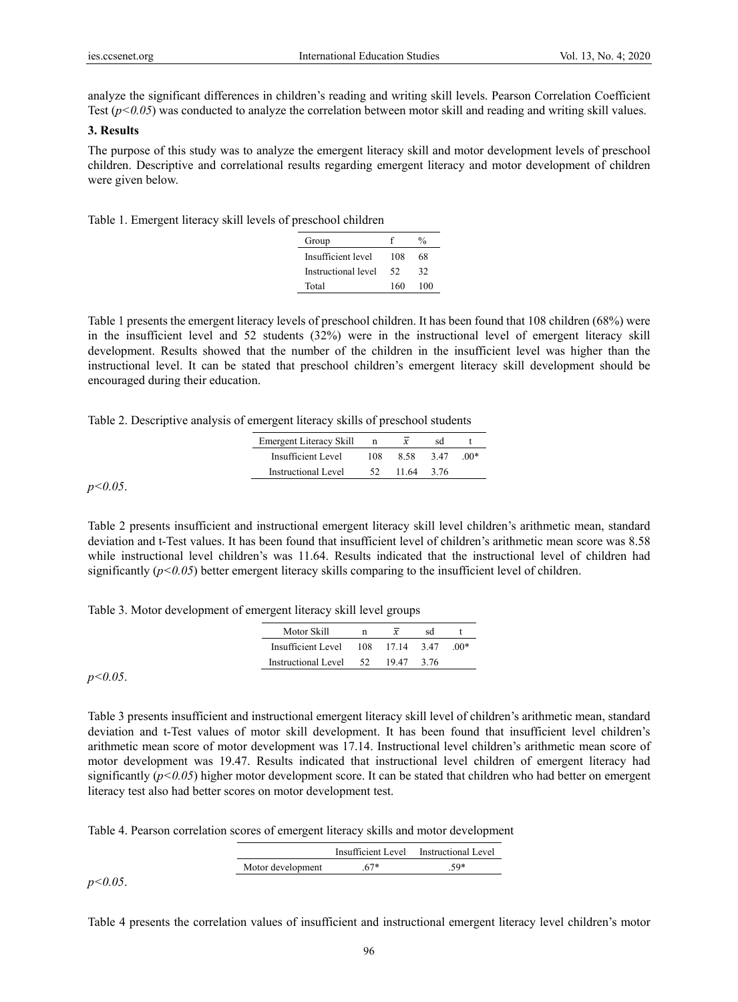analyze the significant differences in children's reading and writing skill levels. Pearson Correlation Coefficient Test  $(p<0.05)$  was conducted to analyze the correlation between motor skill and reading and writing skill values.

#### **3. Results**

The purpose of this study was to analyze the emergent literacy skill and motor development levels of preschool children. Descriptive and correlational results regarding emergent literacy and motor development of children were given below.

Table 1. Emergent literacy skill levels of preschool children

| Group               |     | $\frac{0}{0}$ |
|---------------------|-----|---------------|
| Insufficient level  | 108 | 68            |
| Instructional level | 52  | 32            |
| Total               | 160 | 100           |

Table 1 presents the emergent literacy levels of preschool children. It has been found that 108 children (68%) were in the insufficient level and 52 students (32%) were in the instructional level of emergent literacy skill development. Results showed that the number of the children in the insufficient level was higher than the instructional level. It can be stated that preschool children's emergent literacy skill development should be encouraged during their education.

Table 2. Descriptive analysis of emergent literacy skills of preschool students

| <b>Emergent Literacy Skill</b> |     | x     | sd   |          |
|--------------------------------|-----|-------|------|----------|
| Insufficient Level             | 108 | 8.58  | 347  | $(0()$ * |
| <b>Instructional Level</b>     |     | 11.64 | 3.76 |          |

*p<0.05*.

Table 2 presents insufficient and instructional emergent literacy skill level children's arithmetic mean, standard deviation and t-Test values. It has been found that insufficient level of children's arithmetic mean score was 8.58 while instructional level children's was 11.64. Results indicated that the instructional level of children had significantly  $(p<0.05)$  better emergent literacy skills comparing to the insufficient level of children.

Table 3. Motor development of emergent literacy skill level groups

| Motor Skill                         | $\overline{x}$ | sd |        |
|-------------------------------------|----------------|----|--------|
| Insufficient Level $108$ 17.14 3.47 |                |    | $.00*$ |
| Instructional Level 52 19.47 3.76   |                |    |        |

*p<0.05*.

Table 3 presents insufficient and instructional emergent literacy skill level of children's arithmetic mean, standard deviation and t-Test values of motor skill development. It has been found that insufficient level children's arithmetic mean score of motor development was 17.14. Instructional level children's arithmetic mean score of motor development was 19.47. Results indicated that instructional level children of emergent literacy had significantly  $(p<0.05)$  higher motor development score. It can be stated that children who had better on emergent literacy test also had better scores on motor development test.

Table 4. Pearson correlation scores of emergent literacy skills and motor development

|                   |      | Insufficient Level Instructional Level |
|-------------------|------|----------------------------------------|
| Motor development | .67* | $.59*$                                 |

*p<0.05*.

Table 4 presents the correlation values of insufficient and instructional emergent literacy level children's motor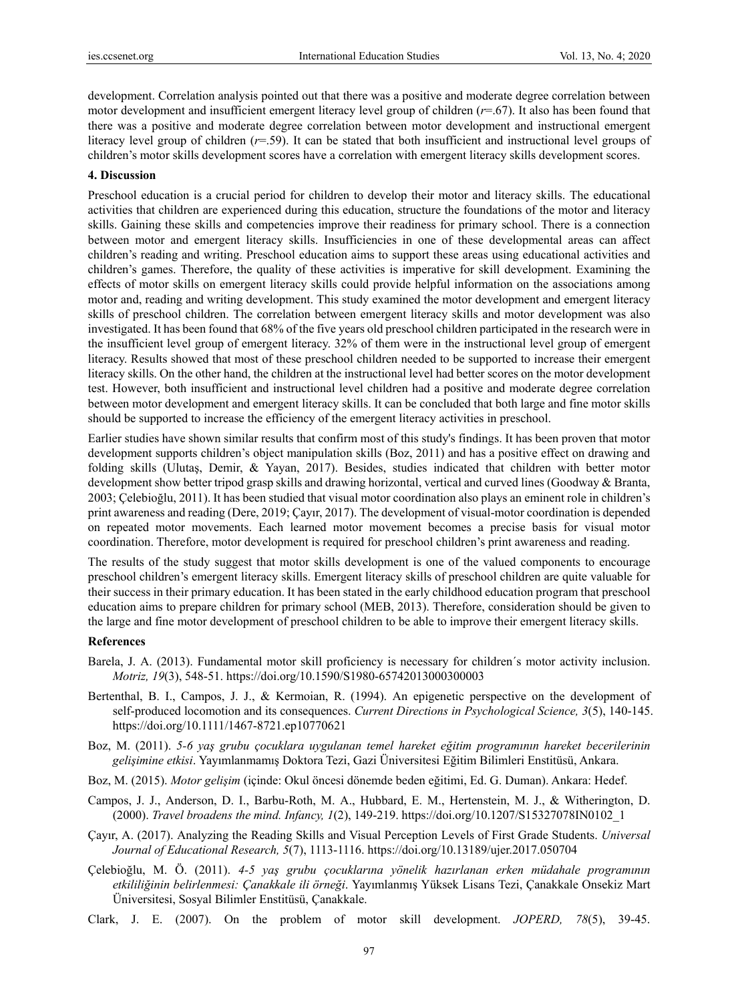development. Correlation analysis pointed out that there was a positive and moderate degree correlation between motor development and insufficient emergent literacy level group of children (*r*=.67). It also has been found that there was a positive and moderate degree correlation between motor development and instructional emergent literacy level group of children (*r*=.59). It can be stated that both insufficient and instructional level groups of children's motor skills development scores have a correlation with emergent literacy skills development scores.

#### **4. Discussion**

Preschool education is a crucial period for children to develop their motor and literacy skills. The educational activities that children are experienced during this education, structure the foundations of the motor and literacy skills. Gaining these skills and competencies improve their readiness for primary school. There is a connection between motor and emergent literacy skills. Insufficiencies in one of these developmental areas can affect children's reading and writing. Preschool education aims to support these areas using educational activities and children's games. Therefore, the quality of these activities is imperative for skill development. Examining the effects of motor skills on emergent literacy skills could provide helpful information on the associations among motor and, reading and writing development. This study examined the motor development and emergent literacy skills of preschool children. The correlation between emergent literacy skills and motor development was also investigated. It has been found that 68% of the five years old preschool children participated in the research were in the insufficient level group of emergent literacy. 32% of them were in the instructional level group of emergent literacy. Results showed that most of these preschool children needed to be supported to increase their emergent literacy skills. On the other hand, the children at the instructional level had better scores on the motor development test. However, both insufficient and instructional level children had a positive and moderate degree correlation between motor development and emergent literacy skills. It can be concluded that both large and fine motor skills should be supported to increase the efficiency of the emergent literacy activities in preschool.

Earlier studies have shown similar results that confirm most of this study's findings. It has been proven that motor development supports children's object manipulation skills (Boz, 2011) and has a positive effect on drawing and folding skills (Ulutaş, Demir, & Yayan, 2017). Besides, studies indicated that children with better motor development show better tripod grasp skills and drawing horizontal, vertical and curved lines (Goodway & Branta, 2003; Çelebioğlu, 2011). It has been studied that visual motor coordination also plays an eminent role in children's print awareness and reading (Dere, 2019; Çayır, 2017). The development of visual-motor coordination is depended on repeated motor movements. Each learned motor movement becomes a precise basis for visual motor coordination. Therefore, motor development is required for preschool children's print awareness and reading.

The results of the study suggest that motor skills development is one of the valued components to encourage preschool children's emergent literacy skills. Emergent literacy skills of preschool children are quite valuable for their success in their primary education. It has been stated in the early childhood education program that preschool education aims to prepare children for primary school (MEB, 2013). Therefore, consideration should be given to the large and fine motor development of preschool children to be able to improve their emergent literacy skills.

#### **References**

- Barela, J. A. (2013). Fundamental motor skill proficiency is necessary for children´s motor activity inclusion. *Motriz, 19*(3), 548-51. https://doi.org/10.1590/S1980-65742013000300003
- Bertenthal, B. I., Campos, J. J., & Kermoian, R. (1994). An epigenetic perspective on the development of self-produced locomotion and its consequences. *Current Directions in Psychological Science, 3*(5), 140-145. https://doi.org/10.1111/1467-8721.ep10770621
- Boz, M. (2011). *5-6 yaş grubu çocuklara uygulanan temel hareket eğitim programının hareket becerilerinin gelişimine etkisi*. Yayımlanmamış Doktora Tezi, Gazi Üniversitesi Eğitim Bilimleri Enstitüsü, Ankara.
- Boz, M. (2015). *Motor gelişim* (içinde: Okul öncesi dönemde beden eğitimi, Ed. G. Duman). Ankara: Hedef.
- Campos, J. J., Anderson, D. I., Barbu-Roth, M. A., Hubbard, E. M., Hertenstein, M. J., & Witherington, D. (2000). *Travel broadens the mind. Infancy, 1*(2), 149-219. https://doi.org/10.1207/S15327078IN0102\_1
- Çayır, A. (2017). Analyzing the Reading Skills and Visual Perception Levels of First Grade Students. *Universal Journal of Educational Research, 5*(7), 1113-1116. https://doi.org/10.13189/ujer.2017.050704
- Çelebioğlu, M. Ö. (2011). *4-5 yaş grubu çocuklarına yönelik hazırlanan erken müdahale programının etkililiğinin belirlenmesi: Çanakkale ili örneği*. Yayımlanmış Yüksek Lisans Tezi, Çanakkale Onsekiz Mart Üniversitesi, Sosyal Bilimler Enstitüsü, Çanakkale.
- Clark, J. E. (2007). On the problem of motor skill development. *JOPERD, 78*(5), 39-45.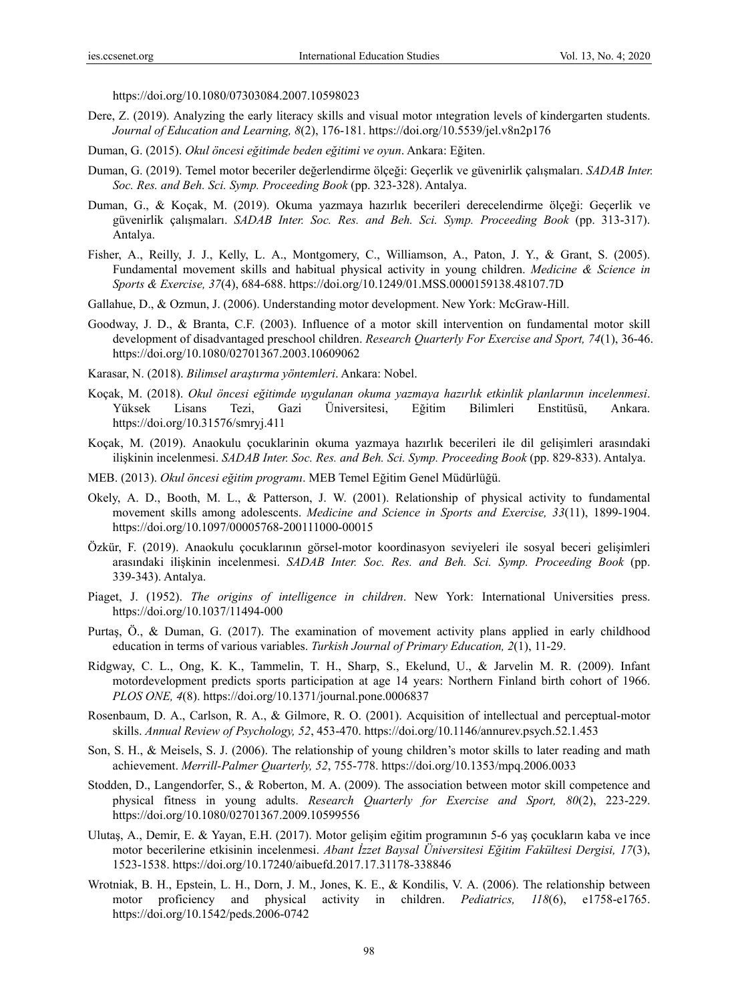https://doi.org/10.1080/07303084.2007.10598023

- Dere, Z. (2019). Analyzing the early literacy skills and visual motor ıntegration levels of kindergarten students. *Journal of Education and Learning, 8*(2), 176-181. https://doi.org/10.5539/jel.v8n2p176
- Duman, G. (2015). *Okul öncesi eğitimde beden eğitimi ve oyun*. Ankara: Eğiten.
- Duman, G. (2019). Temel motor beceriler değerlendirme ölçeği: Geçerlik ve güvenirlik çalışmaları. *SADAB Inter. Soc. Res. and Beh. Sci. Symp. Proceeding Book* (pp. 323-328). Antalya.
- Duman, G., & Koçak, M. (2019). Okuma yazmaya hazırlık becerileri derecelendirme ölçeği: Geçerlik ve güvenirlik çalışmaları. *SADAB Inter. Soc. Res. and Beh. Sci. Symp. Proceeding Book* (pp. 313-317). Antalya.
- Fisher, A., Reilly, J. J., Kelly, L. A., Montgomery, C., Williamson, A., Paton, J. Y., & Grant, S. (2005). Fundamental movement skills and habitual physical activity in young children. *Medicine & Science in Sports & Exercise, 37*(4), 684-688. https://doi.org/10.1249/01.MSS.0000159138.48107.7D
- Gallahue, D., & Ozmun, J. (2006). Understanding motor development. New York: McGraw-Hill.
- Goodway, J. D., & Branta, C.F. (2003). Influence of a motor skill intervention on fundamental motor skill development of disadvantaged preschool children. *Research Quarterly For Exercise and Sport, 74*(1), 36-46. https://doi.org/10.1080/02701367.2003.10609062
- Karasar, N. (2018). *Bilimsel araştırma yöntemleri*. Ankara: Nobel.
- Koçak, M. (2018). *Okul öncesi eğitimde uygulanan okuma yazmaya hazırlık etkinlik planlarının incelenmesi*. Yüksek Lisans Tezi, Gazi Üniversitesi, Eğitim Bilimleri Enstitüsü, Ankara. https://doi.org/10.31576/smryj.411
- Koçak, M. (2019). Anaokulu çocuklarinin okuma yazmaya hazırlık becerileri ile dil gelişimleri arasındaki ilişkinin incelenmesi. *SADAB Inter. Soc. Res. and Beh. Sci. Symp. Proceeding Book* (pp. 829-833). Antalya.
- MEB. (2013). *Okul öncesi eğitim programı*. MEB Temel Eğitim Genel Müdürlüğü.
- Okely, A. D., Booth, M. L., & Patterson, J. W. (2001). Relationship of physical activity to fundamental movement skills among adolescents. *Medicine and Science in Sports and Exercise, 33*(11), 1899-1904. https://doi.org/10.1097/00005768-200111000-00015
- Özkür, F. (2019). Anaokulu çocuklarının görsel-motor koordinasyon seviyeleri ile sosyal beceri gelişimleri arasındaki ilişkinin incelenmesi. *SADAB Inter. Soc. Res. and Beh. Sci. Symp. Proceeding Book* (pp. 339-343). Antalya.
- Piaget, J. (1952). *The origins of intelligence in children*. New York: International Universities press. https://doi.org/10.1037/11494-000
- Purtaş, Ö., & Duman, G. (2017). The examination of movement activity plans applied in early childhood education in terms of various variables. *Turkish Journal of Primary Education, 2*(1), 11-29.
- Ridgway, C. L., Ong, K. K., Tammelin, T. H., Sharp, S., Ekelund, U., & Jarvelin M. R. (2009). Infant motordevelopment predicts sports participation at age 14 years: Northern Finland birth cohort of 1966. *PLOS ONE, 4*(8). https://doi.org/10.1371/journal.pone.0006837
- Rosenbaum, D. A., Carlson, R. A., & Gilmore, R. O. (2001). Acquisition of intellectual and perceptual-motor skills. *Annual Review of Psychology, 52*, 453-470. https://doi.org/10.1146/annurev.psych.52.1.453
- Son, S. H., & Meisels, S. J. (2006). The relationship of young children's motor skills to later reading and math achievement. *Merrill-Palmer Quarterly, 52*, 755-778. https://doi.org/10.1353/mpq.2006.0033
- Stodden, D., Langendorfer, S., & Roberton, M. A. (2009). The association between motor skill competence and physical fitness in young adults. *Research Quarterly for Exercise and Sport, 80*(2), 223-229. https://doi.org/10.1080/02701367.2009.10599556
- Ulutaş, A., Demir, E. & Yayan, E.H. (2017). Motor gelişim eğitim programının 5-6 yaş çocukların kaba ve ince motor becerilerine etkisinin incelenmesi. *Abant İzzet Baysal Üniversitesi Eğitim Fakültesi Dergisi, 17*(3), 1523-1538. https://doi.org/10.17240/aibuefd.2017.17.31178-338846
- Wrotniak, B. H., Epstein, L. H., Dorn, J. M., Jones, K. E., & Kondilis, V. A. (2006). The relationship between motor proficiency and physical activity in children. *Pediatrics, 118*(6), e1758-e1765. https://doi.org/10.1542/peds.2006-0742